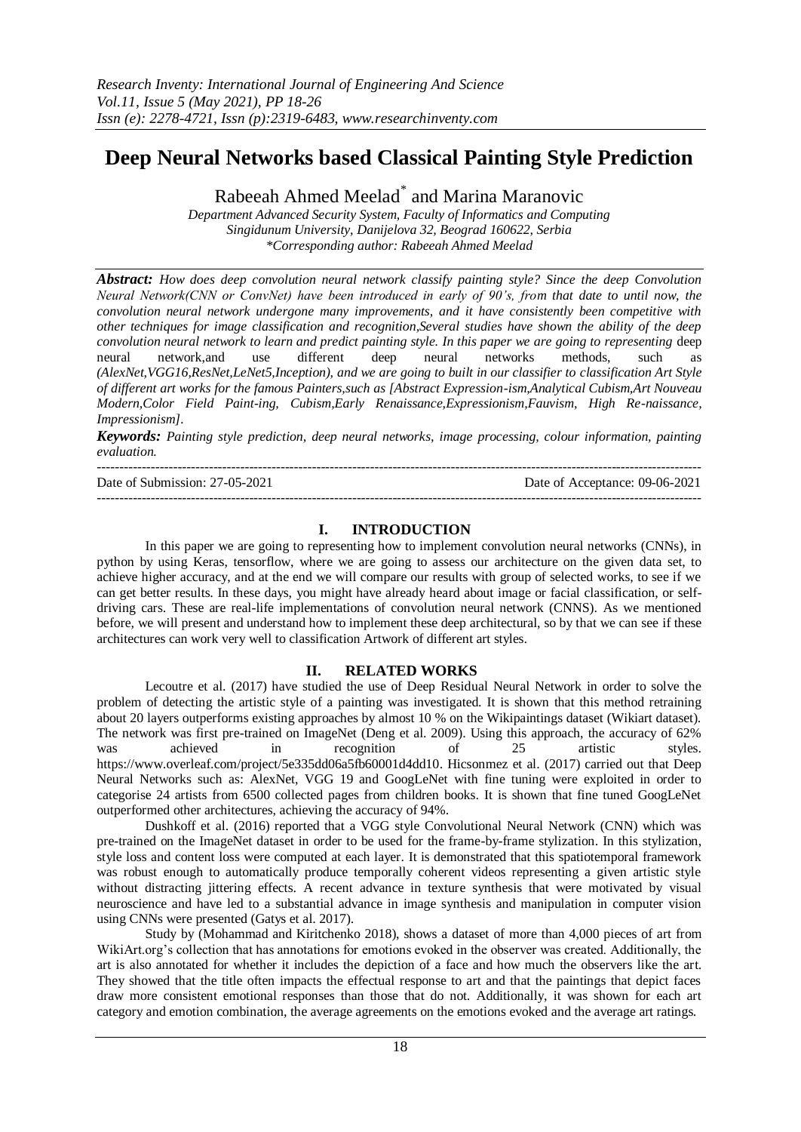# **Deep Neural Networks based Classical Painting Style Prediction**

Rabeeah Ahmed Meelad\* and Marina Maranovic

*Department Advanced Security System, Faculty of Informatics and Computing Singidunum University, Danijelova 32, Beograd 160622, Serbia \*Corresponding author: Rabeeah Ahmed Meelad*

*Abstract: How does deep convolution neural network classify painting style? Since the deep Convolution Neural Network(CNN or ConvNet) have been introduced in early of 90's, from that date to until now, the convolution neural network undergone many improvements, and it have consistently been competitive with other techniques for image classification and recognition,Several studies have shown the ability of the deep convolution neural network to learn and predict painting style. In this paper we are going to representing deep* neural network,and use different deep neural networks methods, such as *(AlexNet,VGG16,ResNet,LeNet5,Inception), and we are going to built in our classifier to classification Art Style of different art works for the famous Painters,such as [Abstract Expression-ism,Analytical Cubism,Art Nouveau Modern,Color Field Paint-ing, Cubism,Early Renaissance,Expressionism,Fauvism, High Re-naissance, Impressionism].*

*Keywords: Painting style prediction, deep neural networks, image processing, colour information, painting evaluation.*

| Date of Submission: 27-05-2021 | Date of Acceptance: 09-06-2021 |
|--------------------------------|--------------------------------|
|                                |                                |

# **I. INTRODUCTION**

In this paper we are going to representing how to implement convolution neural networks (CNNs), in python by using Keras, tensorflow, where we are going to assess our architecture on the given data set, to achieve higher accuracy, and at the end we will compare our results with group of selected works, to see if we can get better results. In these days, you might have already heard about image or facial classification, or selfdriving cars. These are real-life implementations of convolution neural network (CNNS). As we mentioned before, we will present and understand how to implement these deep architectural, so by that we can see if these architectures can work very well to classification Artwork of different art styles.

# **II. RELATED WORKS**

Lecoutre et al. (2017) have studied the use of Deep Residual Neural Network in order to solve the problem of detecting the artistic style of a painting was investigated. It is shown that this method retraining about 20 layers outperforms existing approaches by almost 10 % on the Wikipaintings dataset (Wikiart dataset). The network was first pre-trained on ImageNet (Deng et al. 2009). Using this approach, the accuracy of 62% was achieved in recognition of 25 artistic styles. [https://www.overleaf.com/project/5e335dd06a5fb60001d4dd10.](https://www.overleaf.com/project/5e335dd06a5fb60001d4dd10) Hicsonmez et al. (2017) carried out that Deep Neural Networks such as: AlexNet, VGG 19 and GoogLeNet with fine tuning were exploited in order to categorise 24 artists from 6500 collected pages from children books. It is shown that fine tuned GoogLeNet outperformed other architectures, achieving the accuracy of 94%.

Dushkoff et al. (2016) reported that a VGG style Convolutional Neural Network (CNN) which was pre-trained on the ImageNet dataset in order to be used for the frame-by-frame stylization. In this stylization, style loss and content loss were computed at each layer. It is demonstrated that this spatiotemporal framework was robust enough to automatically produce temporally coherent videos representing a given artistic style without distracting jittering effects. A recent advance in texture synthesis that were motivated by visual neuroscience and have led to a substantial advance in image synthesis and manipulation in computer vision using CNNs were presented (Gatys et al. 2017).

Study by (Mohammad and Kiritchenko 2018), shows a dataset of more than 4,000 pieces of art from WikiArt.org's collection that has annotations for emotions evoked in the observer was created. Additionally, the art is also annotated for whether it includes the depiction of a face and how much the observers like the art. They showed that the title often impacts the effectual response to art and that the paintings that depict faces draw more consistent emotional responses than those that do not. Additionally, it was shown for each art category and emotion combination, the average agreements on the emotions evoked and the average art ratings.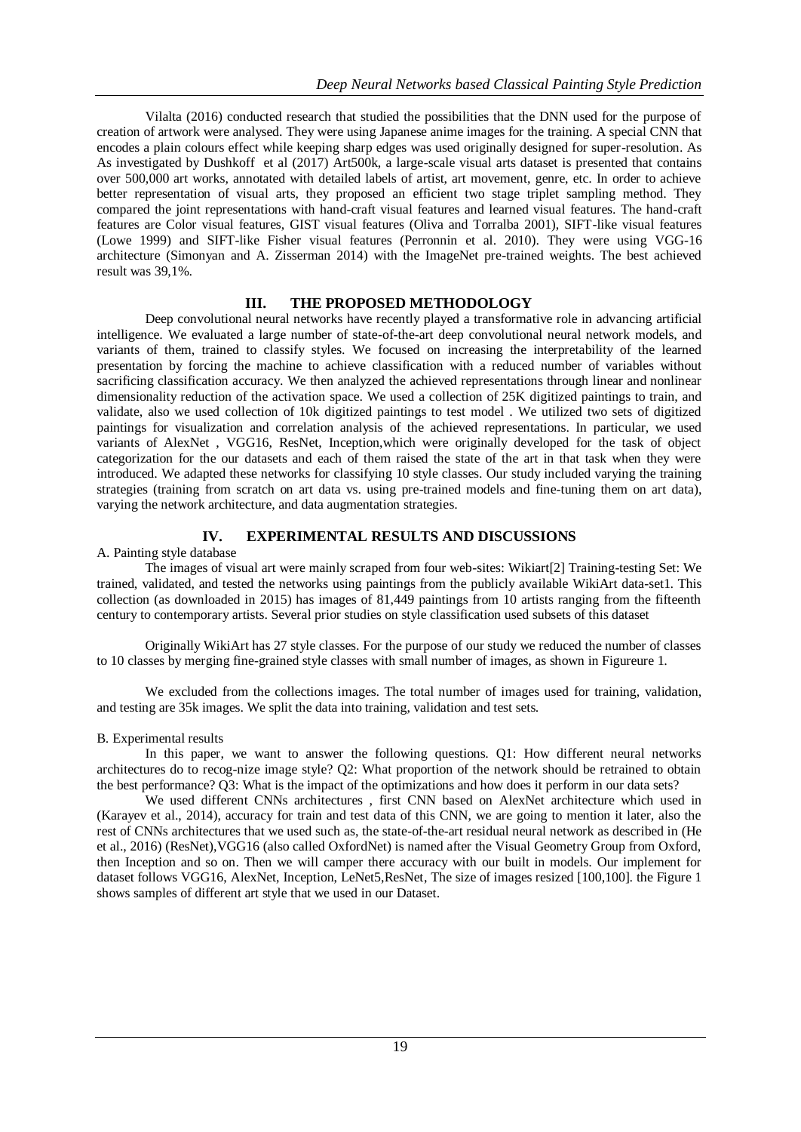Vilalta (2016) conducted research that studied the possibilities that the DNN used for the purpose of creation of artwork were analysed. They were using Japanese anime images for the training. A special CNN that encodes a plain colours effect while keeping sharp edges was used originally designed for super-resolution. As As investigated by Dushkoff et al (2017) Art500k, a large-scale visual arts dataset is presented that contains over 500,000 art works, annotated with detailed labels of artist, art movement, genre, etc. In order to achieve better representation of visual arts, they proposed an efficient two stage triplet sampling method. They compared the joint representations with hand-craft visual features and learned visual features. The hand-craft features are Color visual features, GIST visual features (Oliva and Torralba 2001), SIFT-like visual features (Lowe 1999) and SIFT-like Fisher visual features (Perronnin et al. 2010). They were using VGG-16 architecture (Simonyan and A. Zisserman 2014) with the ImageNet pre-trained weights. The best achieved result was 39,1%.

### **III. THE PROPOSED METHODOLOGY**

Deep convolutional neural networks have recently played a transformative role in advancing artificial intelligence. We evaluated a large number of state-of-the-art deep convolutional neural network models, and variants of them, trained to classify styles. We focused on increasing the interpretability of the learned presentation by forcing the machine to achieve classification with a reduced number of variables without sacrificing classification accuracy. We then analyzed the achieved representations through linear and nonlinear dimensionality reduction of the activation space. We used a collection of 25K digitized paintings to train, and validate, also we used collection of 10k digitized paintings to test model . We utilized two sets of digitized paintings for visualization and correlation analysis of the achieved representations. In particular, we used variants of AlexNet , VGG16, ResNet, Inception,which were originally developed for the task of object categorization for the our datasets and each of them raised the state of the art in that task when they were introduced. We adapted these networks for classifying 10 style classes. Our study included varying the training strategies (training from scratch on art data vs. using pre-trained models and fine-tuning them on art data), varying the network architecture, and data augmentation strategies.

#### **IV. EXPERIMENTAL RESULTS AND DISCUSSIONS**

A. Painting style database

The images of visual art were mainly scraped from four web-sites: Wikiart[2] Training-testing Set: We trained, validated, and tested the networks using paintings from the publicly available WikiArt data-set1. This collection (as downloaded in 2015) has images of 81,449 paintings from 10 artists ranging from the fifteenth century to contemporary artists. Several prior studies on style classification used subsets of this dataset

Originally WikiArt has 27 style classes. For the purpose of our study we reduced the number of classes to 10 classes by merging fine-grained style classes with small number of images, as shown in Figureure 1.

We excluded from the collections images. The total number of images used for training, validation, and testing are 35k images. We split the data into training, validation and test sets.

#### B. Experimental results

In this paper, we want to answer the following questions. Q1: How different neural networks architectures do to recog-nize image style? Q2: What proportion of the network should be retrained to obtain the best performance? Q3: What is the impact of the optimizations and how does it perform in our data sets?

We used different CNNs architectures , first CNN based on AlexNet architecture which used in (Karayev et al., 2014), accuracy for train and test data of this CNN, we are going to mention it later, also the rest of CNNs architectures that we used such as, the state-of-the-art residual neural network as described in (He et al., 2016) (ResNet),VGG16 (also called OxfordNet) is named after the Visual Geometry Group from Oxford, then Inception and so on. Then we will camper there accuracy with our built in models. Our implement for dataset follows VGG16, AlexNet, Inception, LeNet5,ResNet, The size of images resized [100,100]. the Figure 1 shows samples of different art style that we used in our Dataset.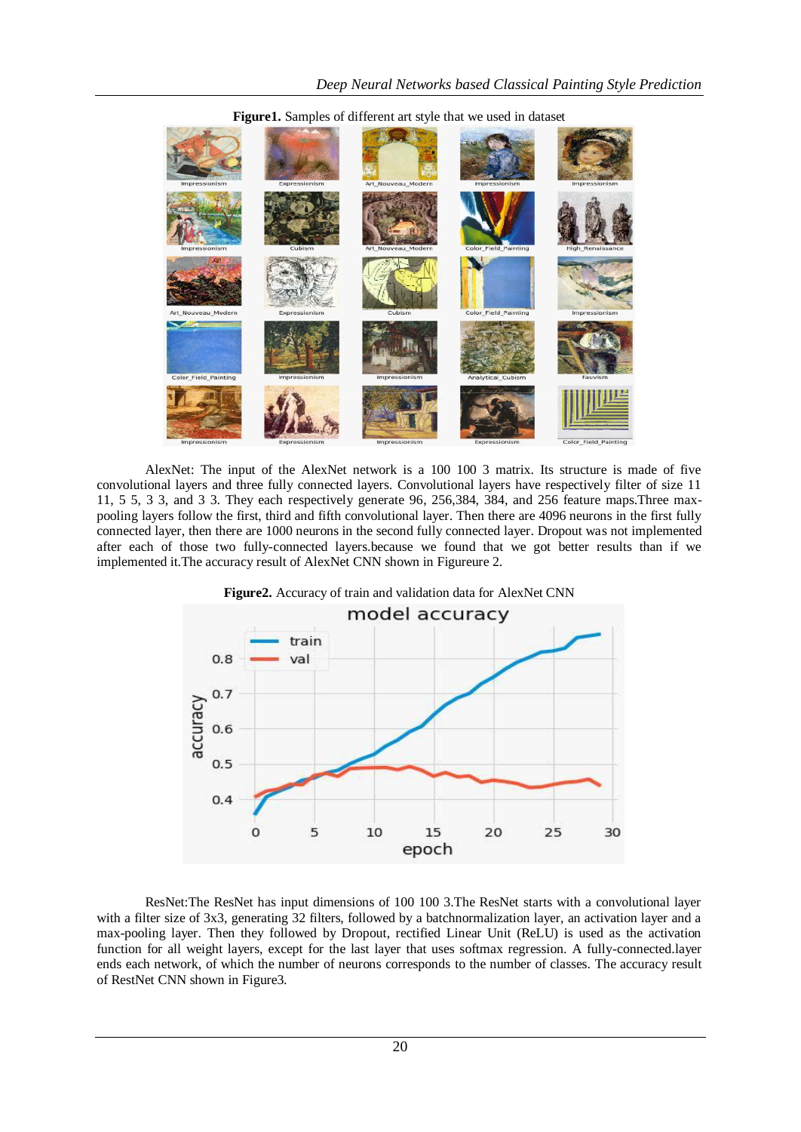

AlexNet: The input of the AlexNet network is a 100 100 3 matrix. Its structure is made of five convolutional layers and three fully connected layers. Convolutional layers have respectively filter of size 11 11, 5 5, 3 3, and 3 3. They each respectively generate 96, 256,384, 384, and 256 feature maps.Three maxpooling layers follow the first, third and fifth convolutional layer. Then there are 4096 neurons in the first fully connected layer, then there are 1000 neurons in the second fully connected layer. Dropout was not implemented after each of those two fully-connected layers.because we found that we got better results than if we implemented it.The accuracy result of AlexNet CNN shown in Figureure 2.



ResNet:The ResNet has input dimensions of 100 100 3.The ResNet starts with a convolutional layer with a filter size of 3x3, generating 32 filters, followed by a batchnormalization layer, an activation layer and a max-pooling layer. Then they followed by Dropout, rectified Linear Unit (ReLU) is used as the activation function for all weight layers, except for the last layer that uses softmax regression. A fully-connected.layer ends each network, of which the number of neurons corresponds to the number of classes. The accuracy result of RestNet CNN shown in Figure3.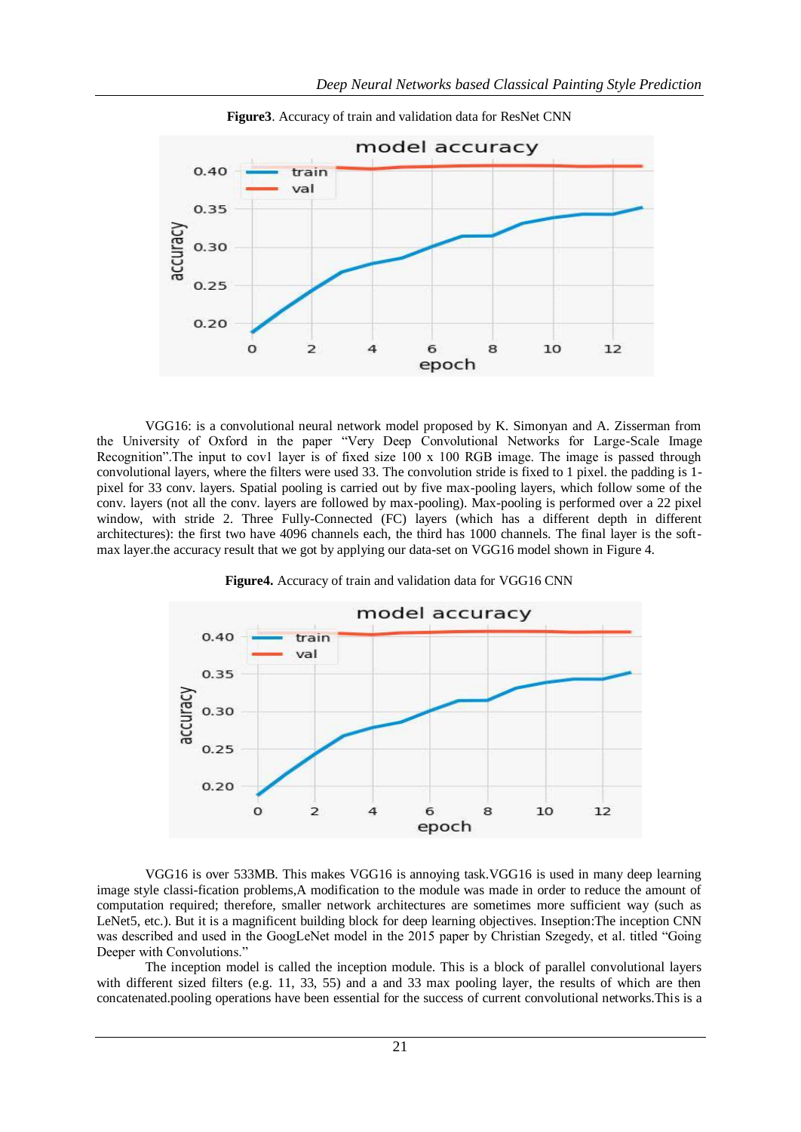

**Figure3**. Accuracy of train and validation data for ResNet CNN

VGG16: is a convolutional neural network model proposed by K. Simonyan and A. Zisserman from the University of Oxford in the paper "Very Deep Convolutional Networks for Large-Scale Image Recognition". The input to cov1 layer is of fixed size 100 x 100 RGB image. The image is passed through convolutional layers, where the filters were used 33. The convolution stride is fixed to 1 pixel. the padding is 1 pixel for 33 conv. layers. Spatial pooling is carried out by five max-pooling layers, which follow some of the conv. layers (not all the conv. layers are followed by max-pooling). Max-pooling is performed over a 22 pixel window, with stride 2. Three Fully-Connected (FC) layers (which has a different depth in different architectures): the first two have 4096 channels each, the third has 1000 channels. The final layer is the softmax layer.the accuracy result that we got by applying our data-set on VGG16 model shown in Figure 4.



**Figure4.** Accuracy of train and validation data for VGG16 CNN

VGG16 is over 533MB. This makes VGG16 is annoying task.VGG16 is used in many deep learning image style classi-fication problems,A modification to the module was made in order to reduce the amount of computation required; therefore, smaller network architectures are sometimes more sufficient way (such as LeNet5, etc.). But it is a magnificent building block for deep learning objectives. Inseption:The inception CNN was described and used in the GoogLeNet model in the 2015 paper by Christian Szegedy, et al. titled "Going Deeper with Convolutions."

The inception model is called the inception module. This is a block of parallel convolutional layers with different sized filters (e.g. 11, 33, 55) and a and 33 max pooling layer, the results of which are then concatenated.pooling operations have been essential for the success of current convolutional networks.This is a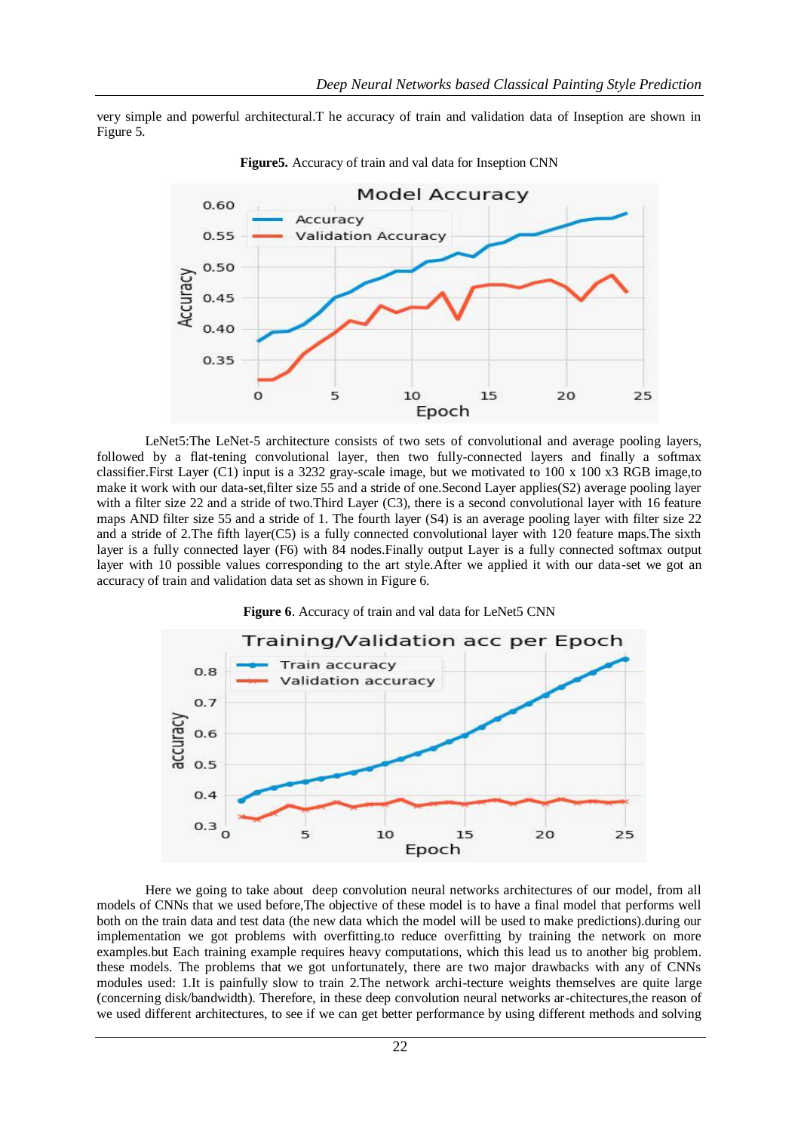very simple and powerful architectural.T he accuracy of train and validation data of Inseption are shown in Figure 5.



**Figure5.** Accuracy of train and val data for Inseption CNN

LeNet5:The LeNet-5 architecture consists of two sets of convolutional and average pooling layers, followed by a flat-tening convolutional layer, then two fully-connected layers and finally a softmax classifier.First Layer (C1) input is a 3232 gray-scale image, but we motivated to 100 x 100 x3 RGB image,to make it work with our data-set,filter size 55 and a stride of one.Second Layer applies(S2) average pooling layer with a filter size 22 and a stride of two.Third Layer (C3), there is a second convolutional layer with 16 feature maps AND filter size 55 and a stride of 1. The fourth layer (S4) is an average pooling layer with filter size 22 and a stride of 2.The fifth layer(C5) is a fully connected convolutional layer with 120 feature maps.The sixth layer is a fully connected layer (F6) with 84 nodes.Finally output Layer is a fully connected softmax output layer with 10 possible values corresponding to the art style.After we applied it with our data-set we got an accuracy of train and validation data set as shown in Figure 6.



**Figure 6**. Accuracy of train and val data for LeNet5 CNN

Here we going to take about deep convolution neural networks architectures of our model, from all models of CNNs that we used before,The objective of these model is to have a final model that performs well both on the train data and test data (the new data which the model will be used to make predictions).during our implementation we got problems with overfitting.to reduce overfitting by training the network on more examples.but Each training example requires heavy computations, which this lead us to another big problem. these models. The problems that we got unfortunately, there are two major drawbacks with any of CNNs modules used: 1.It is painfully slow to train 2.The network archi-tecture weights themselves are quite large (concerning disk/bandwidth). Therefore, in these deep convolution neural networks ar-chitectures,the reason of we used different architectures, to see if we can get better performance by using different methods and solving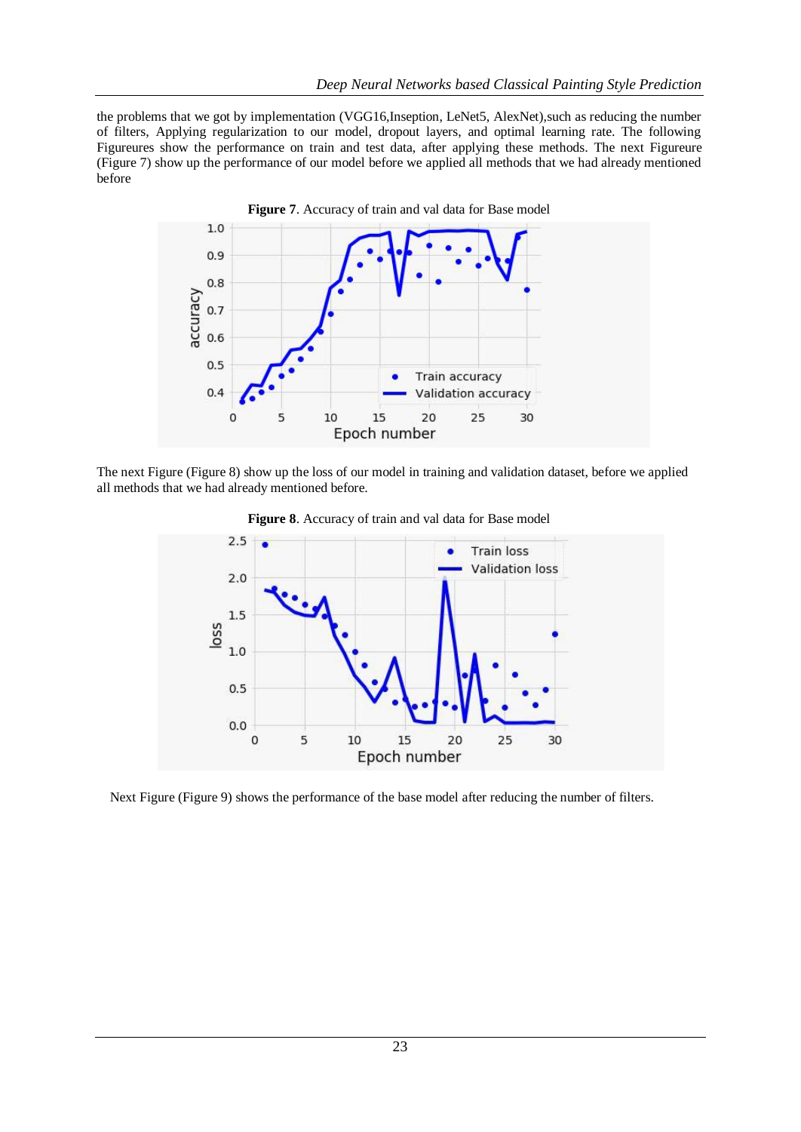the problems that we got by implementation (VGG16,Inseption, LeNet5, AlexNet),such as reducing the number of filters, Applying regularization to our model, dropout layers, and optimal learning rate. The following Figureures show the performance on train and test data, after applying these methods. The next Figureure (Figure 7) show up the performance of our model before we applied all methods that we had already mentioned before



The next Figure (Figure 8) show up the loss of our model in training and validation dataset, before we applied all methods that we had already mentioned before.



**Figure 8**. Accuracy of train and val data for Base model

Next Figure (Figure 9) shows the performance of the base model after reducing the number of filters.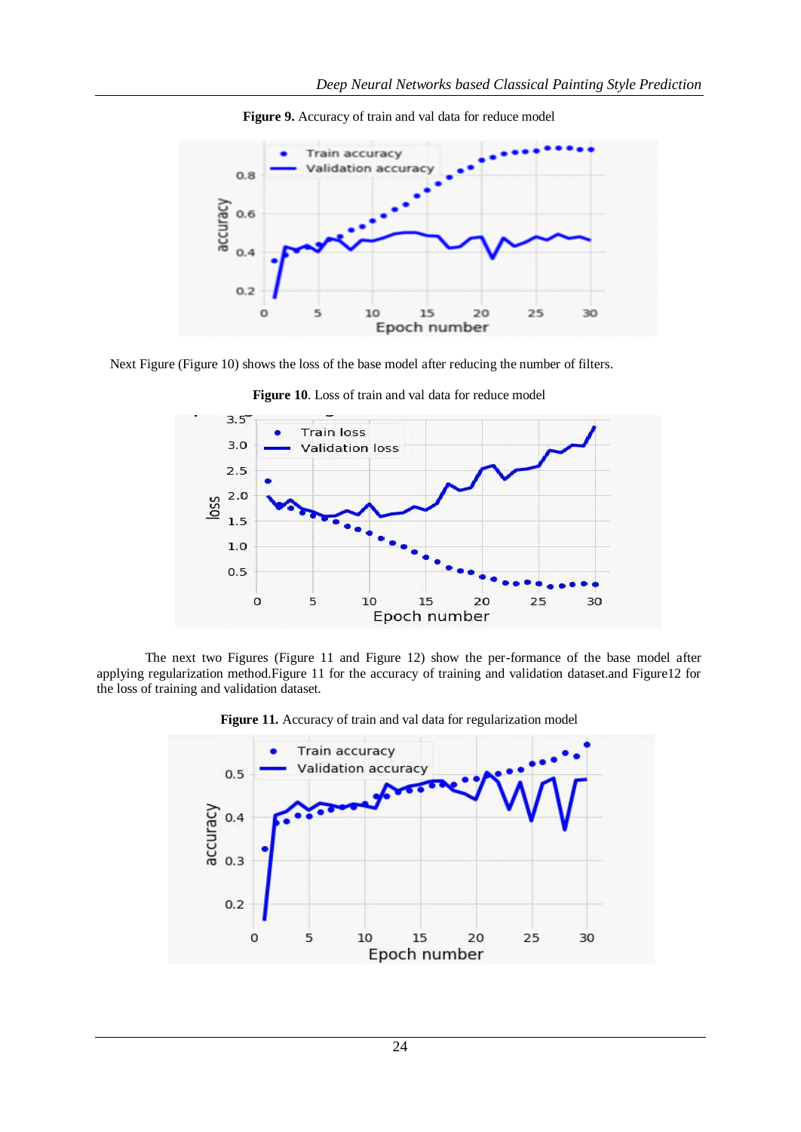

**Figure 9.** Accuracy of train and val data for reduce model

Next Figure (Figure 10) shows the loss of the base model after reducing the number of filters.



Figure 10. Loss of train and val data for reduce model

The next two Figures (Figure 11 and Figure 12) show the per-formance of the base model after applying regularization method.Figure 11 for the accuracy of training and validation dataset.and Figure12 for the loss of training and validation dataset.



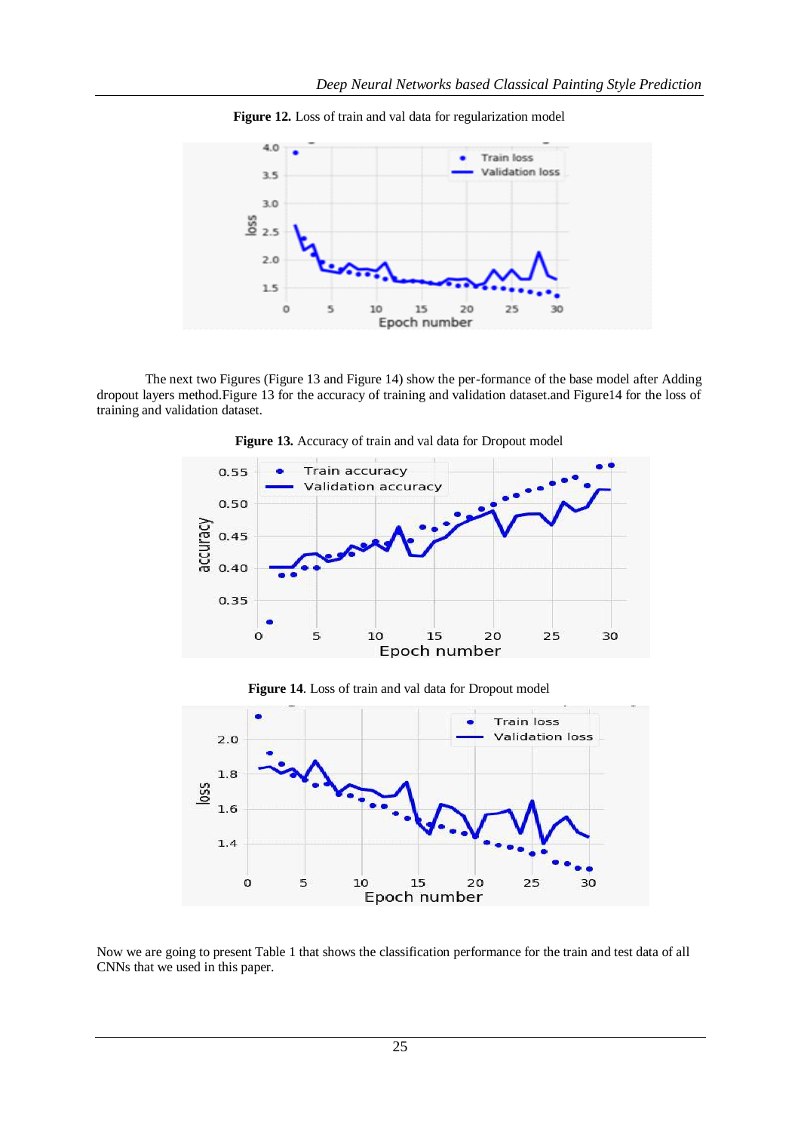



The next two Figures (Figure 13 and Figure 14) show the per-formance of the base model after Adding dropout layers method.Figure 13 for the accuracy of training and validation dataset.and Figure14 for the loss of training and validation dataset.



**Figure 13.** Accuracy of train and val data for Dropout model

**Figure 14**. Loss of train and val data for Dropout model



Now we are going to present Table 1 that shows the classification performance for the train and test data of all CNNs that we used in this paper.